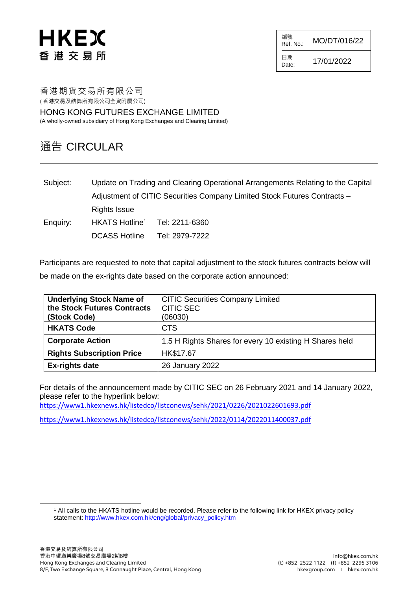# HKEX 香港交易所

編號<br>Ref. No.: MO/DT/016/22

日期 Date:  $17/01/2022$ 

香港期貨交易所有限公司 ( 香港交易及結算所有限公司全資附屬公司)

HONG KONG FUTURES EXCHANGE LIMITED (A wholly-owned subsidiary of Hong Kong Exchanges and Clearing Limited)

### 通告 CIRCULAR

Subject: Update on Trading and Clearing Operational Arrangements Relating to the Capital Adjustment of CITIC Securities Company Limited Stock Futures Contracts – Rights Issue Enquiry: HKATS Hotline<sup>1</sup> Tel: 2211-6360 DCASS Hotline Tel: 2979-7222

Participants are requested to note that capital adjustment to the stock futures contracts below will be made on the ex-rights date based on the corporate action announced:

| <b>Underlying Stock Name of</b><br>the Stock Futures Contracts<br>(Stock Code) | <b>CITIC Securities Company Limited</b><br><b>CITIC SEC</b><br>(06030) |
|--------------------------------------------------------------------------------|------------------------------------------------------------------------|
| <b>HKATS Code</b>                                                              | <b>CTS</b>                                                             |
| <b>Corporate Action</b>                                                        | 1.5 H Rights Shares for every 10 existing H Shares held                |
| <b>Rights Subscription Price</b>                                               | HK\$17.67                                                              |
| <b>Ex-rights date</b>                                                          | 26 January 2022                                                        |

For details of the announcement made by CITIC SEC on 26 February 2021 and 14 January 2022, please refer to the hyperlink below:

<https://www1.hkexnews.hk/listedco/listconews/sehk/2021/0226/2021022601693.pdf>

<https://www1.hkexnews.hk/listedco/listconews/sehk/2022/0114/2022011400037.pdf>

l

<sup>1</sup> All calls to the HKATS hotline would be recorded. Please refer to the following link for HKEX privacy policy statement: [http://www.hkex.com.hk/eng/global/privacy\\_policy.htm](http://www.hkex.com.hk/eng/global/privacy_policy.htm)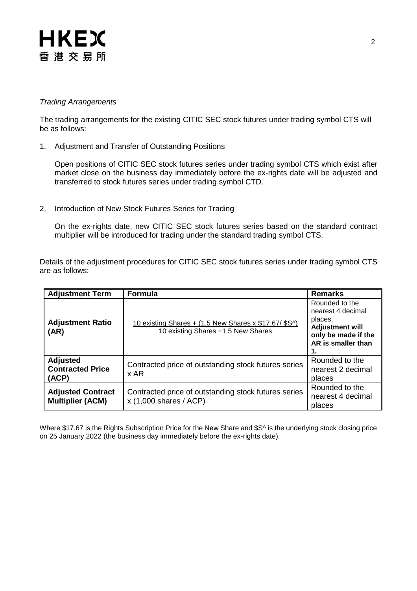## **HKEX** 香港交易所

#### *Trading Arrangements*

The trading arrangements for the existing CITIC SEC stock futures under trading symbol CTS will be as follows:

1. Adjustment and Transfer of Outstanding Positions

Open positions of CITIC SEC stock futures series under trading symbol CTS which exist after market close on the business day immediately before the ex-rights date will be adjusted and transferred to stock futures series under trading symbol CTD.

2. Introduction of New Stock Futures Series for Trading

On the ex-rights date, new CITIC SEC stock futures series based on the standard contract multiplier will be introduced for trading under the standard trading symbol CTS.

Details of the adjustment procedures for CITIC SEC stock futures series under trading symbol CTS are as follows:

| <b>Adjustment Term</b>                              | <b>Formula</b>                                                                                     | <b>Remarks</b>                                                                                                        |
|-----------------------------------------------------|----------------------------------------------------------------------------------------------------|-----------------------------------------------------------------------------------------------------------------------|
| <b>Adjustment Ratio</b><br>(AR)                     | <u>10 existing Shares + (1.5 New Shares x \$17.67/ \$S^)</u><br>10 existing Shares +1.5 New Shares | Rounded to the<br>nearest 4 decimal<br>places.<br><b>Adjustment will</b><br>only be made if the<br>AR is smaller than |
| <b>Adjusted</b><br><b>Contracted Price</b><br>(ACP) | Contracted price of outstanding stock futures series<br>x AR                                       | Rounded to the<br>nearest 2 decimal<br>places                                                                         |
| <b>Adjusted Contract</b><br><b>Multiplier (ACM)</b> | Contracted price of outstanding stock futures series<br>$x$ (1,000 shares / ACP)                   | Rounded to the<br>nearest 4 decimal<br>places                                                                         |

Where \$17.67 is the Rights Subscription Price for the New Share and \$S^ is the underlying stock closing price on 25 January 2022 (the business day immediately before the ex-rights date).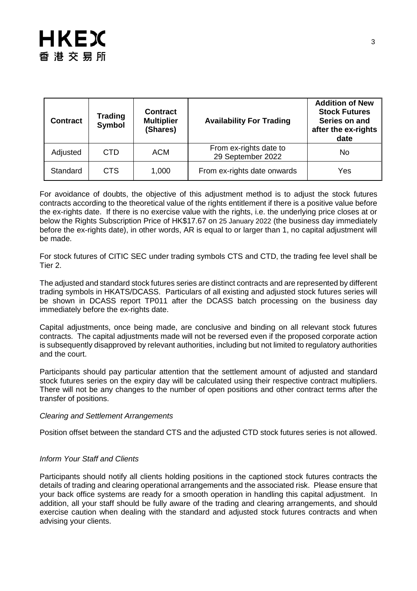| <b>Contract</b> | <b>Trading</b><br>Symbol | <b>Contract</b><br><b>Multiplier</b><br>(Shares) | <b>Availability For Trading</b>             | <b>Addition of New</b><br><b>Stock Futures</b><br>Series on and<br>after the ex-rights<br>date |
|-----------------|--------------------------|--------------------------------------------------|---------------------------------------------|------------------------------------------------------------------------------------------------|
| Adjusted        | <b>CTD</b>               | <b>ACM</b>                                       | From ex-rights date to<br>29 September 2022 | No                                                                                             |
| Standard        | CTS                      | 1,000                                            | From ex-rights date onwards                 | Yes                                                                                            |

For avoidance of doubts, the objective of this adjustment method is to adjust the stock futures contracts according to the theoretical value of the rights entitlement if there is a positive value before the ex-rights date. If there is no exercise value with the rights, i.e. the underlying price closes at or below the Rights Subscription Price of HK\$17.67 on 25 January 2022 (the business day immediately before the ex-rights date), in other words, AR is equal to or larger than 1, no capital adjustment will be made.

For stock futures of CITIC SEC under trading symbols CTS and CTD, the trading fee level shall be Tier 2.

The adjusted and standard stock futures series are distinct contracts and are represented by different trading symbols in HKATS/DCASS. Particulars of all existing and adjusted stock futures series will be shown in DCASS report TP011 after the DCASS batch processing on the business day immediately before the ex-rights date.

Capital adjustments, once being made, are conclusive and binding on all relevant stock futures contracts. The capital adjustments made will not be reversed even if the proposed corporate action is subsequently disapproved by relevant authorities, including but not limited to regulatory authorities and the court.

Participants should pay particular attention that the settlement amount of adjusted and standard stock futures series on the expiry day will be calculated using their respective contract multipliers. There will not be any changes to the number of open positions and other contract terms after the transfer of positions.

#### *Clearing and Settlement Arrangements*

Position offset between the standard CTS and the adjusted CTD stock futures series is not allowed.

#### *Inform Your Staff and Clients*

Participants should notify all clients holding positions in the captioned stock futures contracts the details of trading and clearing operational arrangements and the associated risk. Please ensure that your back office systems are ready for a smooth operation in handling this capital adjustment. In addition, all your staff should be fully aware of the trading and clearing arrangements, and should exercise caution when dealing with the standard and adjusted stock futures contracts and when advising your clients.